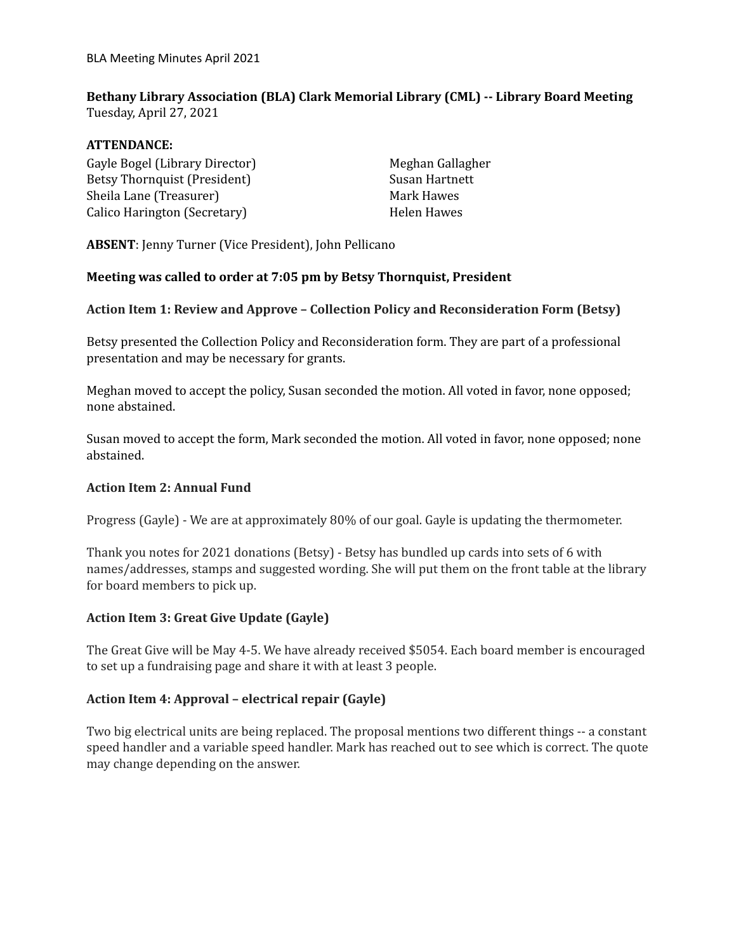## **Bethany Library Association (BLA) Clark Memorial Library (CML) -- Library Board Meeting** Tuesday, April 27, 2021

#### **ATTENDANCE:**

Gayle Bogel (Library Director) Betsy Thornquist (President) Sheila Lane (Treasurer) Calico Harington (Secretary)

Meghan Gallagher Susan Hartnett Mark Hawes Helen Hawes

**ABSENT**: Jenny Turner (Vice President), John Pellicano

#### **Meeting was called to order at 7:05 pm by Betsy Thornquist, President**

#### **Action Item 1: Review and Approve – Collection Policy and Reconsideration Form (Betsy)**

Betsy presented the Collection Policy and Reconsideration form. They are part of a professional presentation and may be necessary for grants.

Meghan moved to accept the policy, Susan seconded the motion. All voted in favor, none opposed; none abstained.

Susan moved to accept the form, Mark seconded the motion. All voted in favor, none opposed; none abstained.

#### **Action Item 2: Annual Fund**

Progress (Gayle) - We are at approximately 80% of our goal. Gayle is updating the thermometer.

Thank you notes for 2021 donations (Betsy) - Betsy has bundled up cards into sets of 6 with names/addresses, stamps and suggested wording. She will put them on the front table at the library for board members to pick up.

## **Action Item 3: Great Give Update (Gayle)**

The Great Give will be May 4-5. We have already received \$5054. Each board member is encouraged to set up a fundraising page and share it with at least 3 people.

## **Action Item 4: Approval – electrical repair (Gayle)**

Two big electrical units are being replaced. The proposal mentions two different things -- a constant speed handler and a variable speed handler. Mark has reached out to see which is correct. The quote may change depending on the answer.